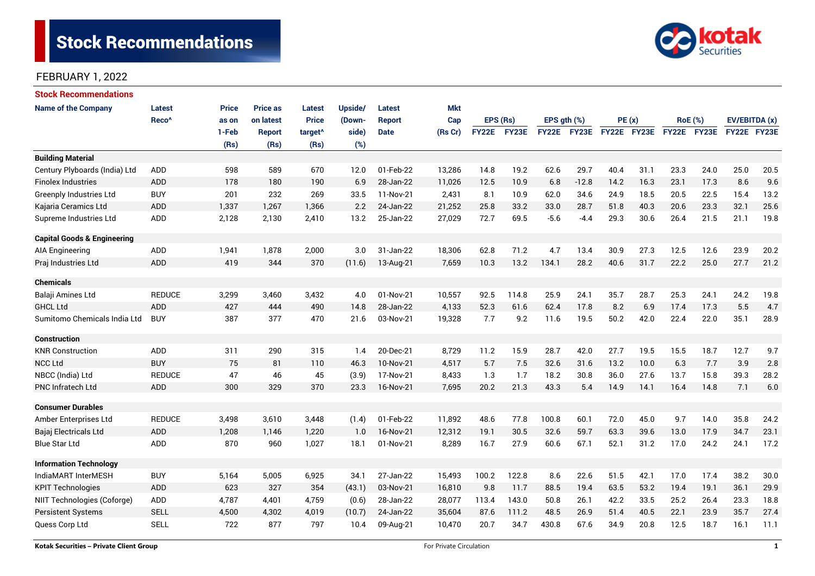# **Stock Recommendations**



#### FEBRUARY 1, 2022

| <b>Stock Recommendations</b>           |                   |              |                 |                     |         |               |            |              |       |                  |         |             |      |      |                |               |      |
|----------------------------------------|-------------------|--------------|-----------------|---------------------|---------|---------------|------------|--------------|-------|------------------|---------|-------------|------|------|----------------|---------------|------|
| <b>Name of the Company</b>             | <b>Latest</b>     | <b>Price</b> | <b>Price as</b> | Latest              | Upside/ | Latest        | <b>Mkt</b> |              |       |                  |         |             |      |      |                |               |      |
|                                        | Reco <sup>^</sup> | as on        | on latest       | <b>Price</b>        | (Down-  | <b>Report</b> | Cap        | EPS (Rs)     |       | EPS $gth$ $(\%)$ |         | PE(x)       |      |      | <b>RoE</b> (%) | EV/EBITDA (x) |      |
|                                        |                   | 1-Feb        | Report          | target <sup>^</sup> | side)   | <b>Date</b>   | (Rs Cr)    | <b>FY22E</b> | FY23E | FY22E            | FY23E   | FY22E FY23E |      |      | FY22E FY23E    | FY22E FY23E   |      |
|                                        |                   | (Rs)         | (Rs)            | (Rs)                | (%)     |               |            |              |       |                  |         |             |      |      |                |               |      |
| <b>Building Material</b>               |                   |              |                 |                     |         |               |            |              |       |                  |         |             |      |      |                |               |      |
| Century Plyboards (India) Ltd          | <b>ADD</b>        | 598          | 589             | 670                 | 12.0    | 01-Feb-22     | 13,286     | 14.8         | 19.2  | 62.6             | 29.7    | 40.4        | 31.1 | 23.3 | 24.0           | 25.0          | 20.5 |
| <b>Finolex Industries</b>              | ADD               | 178          | 180             | 190                 | 6.9     | 28-Jan-22     | 11,026     | 12.5         | 10.9  | 6.8              | $-12.8$ | 14.2        | 16.3 | 23.1 | 17.3           | 8.6           | 9.6  |
| <b>Greenply Industries Ltd</b>         | <b>BUY</b>        | 201          | 232             | 269                 | 33.5    | 11-Nov-21     | 2,431      | 8.1          | 10.9  | 62.0             | 34.6    | 24.9        | 18.5 | 20.5 | 22.5           | 15.4          | 13.2 |
| Kajaria Ceramics Ltd                   | <b>ADD</b>        | 1,337        | 1,267           | 1,366               | 2.2     | 24-Jan-22     | 21,252     | 25.8         | 33.2  | 33.0             | 28.7    | 51.8        | 40.3 | 20.6 | 23.3           | 32.1          | 25.6 |
| Supreme Industries Ltd                 | ADD               | 2,128        | 2,130           | 2,410               | 13.2    | 25-Jan-22     | 27,029     | 72.7         | 69.5  | $-5.6$           | $-4.4$  | 29.3        | 30.6 | 26.4 | 21.5           | 21.1          | 19.8 |
| <b>Capital Goods &amp; Engineering</b> |                   |              |                 |                     |         |               |            |              |       |                  |         |             |      |      |                |               |      |
| <b>AIA Engineering</b>                 | ADD               | 1,941        | 1,878           | 2,000               | 3.0     | 31-Jan-22     | 18,306     | 62.8         | 71.2  | 4.7              | 13.4    | 30.9        | 27.3 | 12.5 | 12.6           | 23.9          | 20.2 |
| Praj Industries Ltd                    | <b>ADD</b>        | 419          | 344             | 370                 | (11.6)  | 13-Aug-21     | 7,659      | 10.3         | 13.2  | 134.1            | 28.2    | 40.6        | 31.7 | 22.2 | 25.0           | 27.7          | 21.2 |
| <b>Chemicals</b>                       |                   |              |                 |                     |         |               |            |              |       |                  |         |             |      |      |                |               |      |
| Balaji Amines Ltd                      | <b>REDUCE</b>     | 3,299        | 3,460           | 3,432               | 4.0     | 01-Nov-21     | 10,557     | 92.5         | 114.8 | 25.9             | 24.1    | 35.7        | 28.7 | 25.3 | 24.1           | 24.2          | 19.8 |
| <b>GHCL Ltd</b>                        | <b>ADD</b>        | 427          | 444             | 490                 | 14.8    | 28-Jan-22     | 4,133      | 52.3         | 61.6  | 62.4             | 17.8    | 8.2         | 6.9  | 17.4 | 17.3           | 5.5           | 4.7  |
| Sumitomo Chemicals India Ltd           | <b>BUY</b>        | 387          | 377             | 470                 | 21.6    | 03-Nov-21     | 19,328     | 7.7          | 9.2   | 11.6             | 19.5    | 50.2        | 42.0 | 22.4 | 22.0           | 35.1          | 28.9 |
| <b>Construction</b>                    |                   |              |                 |                     |         |               |            |              |       |                  |         |             |      |      |                |               |      |
| <b>KNR Construction</b>                | ADD               | 311          | 290             | 315                 | 1.4     | 20-Dec-21     | 8,729      | 11.2         | 15.9  | 28.7             | 42.0    | 27.7        | 19.5 | 15.5 | 18.7           | 12.7          | 9.7  |
| <b>NCC Ltd</b>                         | <b>BUY</b>        | 75           | 81              | 110                 | 46.3    | 10-Nov-21     | 4,517      | 5.7          | 7.5   | 32.6             | 31.6    | 13.2        | 10.0 | 6.3  | 7.7            | 3.9           | 2.8  |
| NBCC (India) Ltd                       | <b>REDUCE</b>     | 47           | 46              | 45                  | (3.9)   | 17-Nov-21     | 8,433      | 1.3          | 1.7   | 18.2             | 30.8    | 36.0        | 27.6 | 13.7 | 15.8           | 39.3          | 28.2 |
| <b>PNC Infratech Ltd</b>               | ADD               | 300          | 329             | 370                 | 23.3    | 16-Nov-21     | 7,695      | 20.2         | 21.3  | 43.3             | 5.4     | 14.9        | 14.1 | 16.4 | 14.8           | 7.1           | 6.0  |
| <b>Consumer Durables</b>               |                   |              |                 |                     |         |               |            |              |       |                  |         |             |      |      |                |               |      |
| Amber Enterprises Ltd                  | <b>REDUCE</b>     | 3,498        | 3,610           | 3,448               | (1.4)   | 01-Feb-22     | 11,892     | 48.6         | 77.8  | 100.8            | 60.1    | 72.0        | 45.0 | 9.7  | 14.0           | 35.8          | 24.2 |
| Bajaj Electricals Ltd                  | <b>ADD</b>        | 1,208        | 1,146           | 1,220               | 1.0     | 16-Nov-21     | 12,312     | 19.1         | 30.5  | 32.6             | 59.7    | 63.3        | 39.6 | 13.0 | 17.9           | 34.7          | 23.1 |
| <b>Blue Star Ltd</b>                   | ADD               | 870          | 960             | 1,027               | 18.1    | 01-Nov-21     | 8,289      | 16.7         | 27.9  | 60.6             | 67.1    | 52.1        | 31.2 | 17.0 | 24.2           | 24.1          | 17.2 |
| <b>Information Technology</b>          |                   |              |                 |                     |         |               |            |              |       |                  |         |             |      |      |                |               |      |
| IndiaMART InterMESH                    | <b>BUY</b>        | 5,164        | 5,005           | 6,925               | 34.1    | 27-Jan-22     | 15,493     | 100.2        | 122.8 | 8.6              | 22.6    | 51.5        | 42.1 | 17.0 | 17.4           | 38.2          | 30.0 |
| <b>KPIT Technologies</b>               | <b>ADD</b>        | 623          | 327             | 354                 | (43.1)  | 03-Nov-21     | 16,810     | 9.8          | 11.7  | 88.5             | 19.4    | 63.5        | 53.2 | 19.4 | 19.1           | 36.1          | 29.9 |
| NIIT Technologies (Coforge)            | ADD               | 4,787        | 4,401           | 4,759               | (0.6)   | 28-Jan-22     | 28,077     | 113.4        | 143.0 | 50.8             | 26.1    | 42.2        | 33.5 | 25.2 | 26.4           | 23.3          | 18.8 |
| <b>Persistent Systems</b>              | <b>SELL</b>       | 4,500        | 4,302           | 4,019               | (10.7)  | 24-Jan-22     | 35,604     | 87.6         | 111.2 | 48.5             | 26.9    | 51.4        | 40.5 | 22.1 | 23.9           | 35.7          | 27.4 |
| Quess Corp Ltd                         | <b>SELL</b>       | 722          | 877             | 797                 | 10.4    | 09-Aug-21     | 10,470     | 20.7         | 34.7  | 430.8            | 67.6    | 34.9        | 20.8 | 12.5 | 18.7           | 16.1          | 11.1 |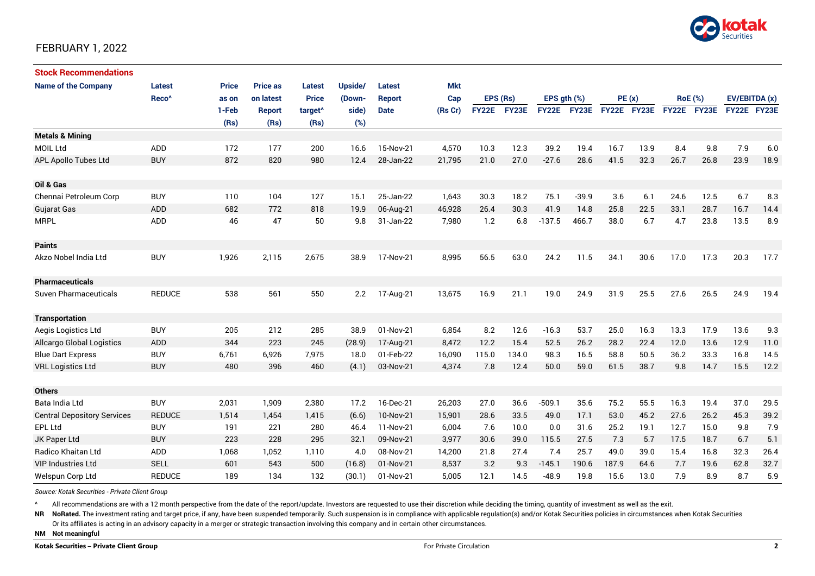

#### FEBRUARY 1, 2022

| <b>Stock Recommendations</b>       |                   |              |                 |                     |         |               |            |              |       |                  |             |             |      |      |                |                         |      |
|------------------------------------|-------------------|--------------|-----------------|---------------------|---------|---------------|------------|--------------|-------|------------------|-------------|-------------|------|------|----------------|-------------------------|------|
| <b>Name of the Company</b>         | Latest            | <b>Price</b> | <b>Price as</b> | Latest              | Upside/ | Latest        | <b>Mkt</b> |              |       |                  |             |             |      |      |                |                         |      |
|                                    | Reco <sup>^</sup> | as on        | on latest       | <b>Price</b>        | (Down-  | <b>Report</b> | Cap        | EPS (Rs)     |       | EPS $gth$ $(\%)$ |             | PE(x)       |      |      | <b>RoE</b> (%) | EV/EBITDA (x)           |      |
|                                    |                   | 1-Feb        | <b>Report</b>   | target <sup>^</sup> | side)   | <b>Date</b>   | (Rs Cr)    | <b>FY22E</b> | FY23E |                  | FY22E FY23E | FY22E FY23E |      |      |                | FY22E FY23E FY22E FY23E |      |
|                                    |                   | (Rs)         | (Rs)            | (Rs)                | (%)     |               |            |              |       |                  |             |             |      |      |                |                         |      |
| <b>Metals &amp; Mining</b>         |                   |              |                 |                     |         |               |            |              |       |                  |             |             |      |      |                |                         |      |
| <b>MOIL Ltd</b>                    | ADD               | 172          | 177             | 200                 | 16.6    | 15-Nov-21     | 4,570      | 10.3         | 12.3  | 39.2             | 19.4        | 16.7        | 13.9 | 8.4  | 9.8            | 7.9                     | 6.0  |
| <b>APL Apollo Tubes Ltd</b>        | <b>BUY</b>        | 872          | 820             | 980                 | 12.4    | 28-Jan-22     | 21,795     | 21.0         | 27.0  | $-27.6$          | 28.6        | 41.5        | 32.3 | 26.7 | 26.8           | 23.9                    | 18.9 |
|                                    |                   |              |                 |                     |         |               |            |              |       |                  |             |             |      |      |                |                         |      |
| Oil & Gas                          |                   |              |                 |                     |         |               |            |              |       |                  |             |             |      |      |                |                         |      |
| Chennai Petroleum Corp             | <b>BUY</b>        | 110          | 104             | 127                 | 15.1    | 25-Jan-22     | 1,643      | 30.3         | 18.2  | 75.1             | $-39.9$     | 3.6         | 6.1  | 24.6 | 12.5           | 6.7                     | 8.3  |
| Gujarat Gas                        | <b>ADD</b>        | 682          | 772             | 818                 | 19.9    | 06-Aug-21     | 46,928     | 26.4         | 30.3  | 41.9             | 14.8        | 25.8        | 22.5 | 33.1 | 28.7           | 16.7                    | 14.4 |
| <b>MRPL</b>                        | ADD               | 46           | 47              | 50                  | 9.8     | 31-Jan-22     | 7,980      | 1.2          | 6.8   | $-137.5$         | 466.7       | 38.0        | 6.7  | 4.7  | 23.8           | 13.5                    | 8.9  |
|                                    |                   |              |                 |                     |         |               |            |              |       |                  |             |             |      |      |                |                         |      |
| <b>Paints</b>                      |                   |              |                 |                     |         |               |            |              |       |                  |             |             |      |      |                |                         |      |
| Akzo Nobel India Ltd               | <b>BUY</b>        | 1,926        | 2,115           | 2,675               | 38.9    | 17-Nov-21     | 8,995      | 56.5         | 63.0  | 24.2             | 11.5        | 34.1        | 30.6 | 17.0 | 17.3           | 20.3                    | 17.7 |
|                                    |                   |              |                 |                     |         |               |            |              |       |                  |             |             |      |      |                |                         |      |
| <b>Pharmaceuticals</b>             |                   |              |                 |                     |         |               |            |              |       |                  |             |             |      |      |                |                         |      |
| <b>Suven Pharmaceuticals</b>       | <b>REDUCE</b>     | 538          | 561             | 550                 | 2.2     | 17-Aug-21     | 13,675     | 16.9         | 21.1  | 19.0             | 24.9        | 31.9        | 25.5 | 27.6 | 26.5           | 24.9                    | 19.4 |
|                                    |                   |              |                 |                     |         |               |            |              |       |                  |             |             |      |      |                |                         |      |
| <b>Transportation</b>              |                   |              |                 |                     |         |               |            |              |       |                  |             |             |      |      |                |                         |      |
| Aegis Logistics Ltd                | <b>BUY</b>        | 205          | 212             | 285                 | 38.9    | 01-Nov-21     | 6,854      | 8.2          | 12.6  | $-16.3$          | 53.7        | 25.0        | 16.3 | 13.3 | 17.9           | 13.6                    | 9.3  |
| <b>Allcargo Global Logistics</b>   | ADD               | 344          | 223             | 245                 | (28.9)  | 17-Aug-21     | 8,472      | 12.2         | 15.4  | 52.5             | 26.2        | 28.2        | 22.4 | 12.0 | 13.6           | 12.9                    | 11.0 |
| <b>Blue Dart Express</b>           | <b>BUY</b>        | 6,761        | 6,926           | 7,975               | 18.0    | 01-Feb-22     | 16,090     | 115.0        | 134.0 | 98.3             | 16.5        | 58.8        | 50.5 | 36.2 | 33.3           | 16.8                    | 14.5 |
| <b>VRL Logistics Ltd</b>           | <b>BUY</b>        | 480          | 396             | 460                 | (4.1)   | 03-Nov-21     | 4,374      | 7.8          | 12.4  | 50.0             | 59.0        | 61.5        | 38.7 | 9.8  | 14.7           | 15.5                    | 12.2 |
|                                    |                   |              |                 |                     |         |               |            |              |       |                  |             |             |      |      |                |                         |      |
| <b>Others</b>                      |                   |              |                 |                     |         |               |            |              |       |                  |             |             |      |      |                |                         |      |
| Bata India Ltd                     | <b>BUY</b>        | 2,031        | 1,909           | 2,380               | 17.2    | 16-Dec-21     | 26,203     | 27.0         | 36.6  | $-509.1$         | 35.6        | 75.2        | 55.5 | 16.3 | 19.4           | 37.0                    | 29.5 |
| <b>Central Depository Services</b> | <b>REDUCE</b>     | 1,514        | 1,454           | 1,415               | (6.6)   | 10-Nov-21     | 15,901     | 28.6         | 33.5  | 49.0             | 17.1        | 53.0        | 45.2 | 27.6 | 26.2           | 45.3                    | 39.2 |
| <b>EPL Ltd</b>                     | <b>BUY</b>        | 191          | 221             | 280                 | 46.4    | 11-Nov-21     | 6,004      | 7.6          | 10.0  | 0.0              | 31.6        | 25.2        | 19.1 | 12.7 | 15.0           | 9.8                     | 7.9  |
| JK Paper Ltd                       | <b>BUY</b>        | 223          | 228             | 295                 | 32.1    | 09-Nov-21     | 3,977      | 30.6         | 39.0  | 115.5            | 27.5        | 7.3         | 5.7  | 17.5 | 18.7           | 6.7                     | 5.1  |
| Radico Khaitan Ltd                 | ADD               | 1,068        | 1,052           | 1,110               | 4.0     | 08-Nov-21     | 14,200     | 21.8         | 27.4  | 7.4              | 25.7        | 49.0        | 39.0 | 15.4 | 16.8           | 32.3                    | 26.4 |
| <b>VIP Industries Ltd</b>          | <b>SELL</b>       | 601          | 543             | 500                 | (16.8)  | 01-Nov-21     | 8,537      | 3.2          | 9.3   | $-145.1$         | 190.6       | 187.9       | 64.6 | 7.7  | 19.6           | 62.8                    | 32.7 |
| Welspun Corp Ltd                   | <b>REDUCE</b>     | 189          | 134             | 132                 | (30.1)  | 01-Nov-21     | 5,005      | 12.1         | 14.5  | -48.9            | 19.8        | 15.6        | 13.0 | 7.9  | 8.9            | 8.7                     | 5.9  |

*Source: Kotak Securities - Private Client Group*

All recommendations are with a 12 month perspective from the date of the report/update. Investors are requested to use their discretion while deciding the timing, quantity of investment as well as the exit.

NR NoRated. The investment rating and target price, if any, have been suspended temporarily. Such suspension is in compliance with applicable regulation(s) and/or Kotak Securities policies in circumstances when Kotak Secur

Or its affiliates is acting in an advisory capacity in a merger or strategic transaction involving this company and in certain other circumstances.

**NM Not meaningful**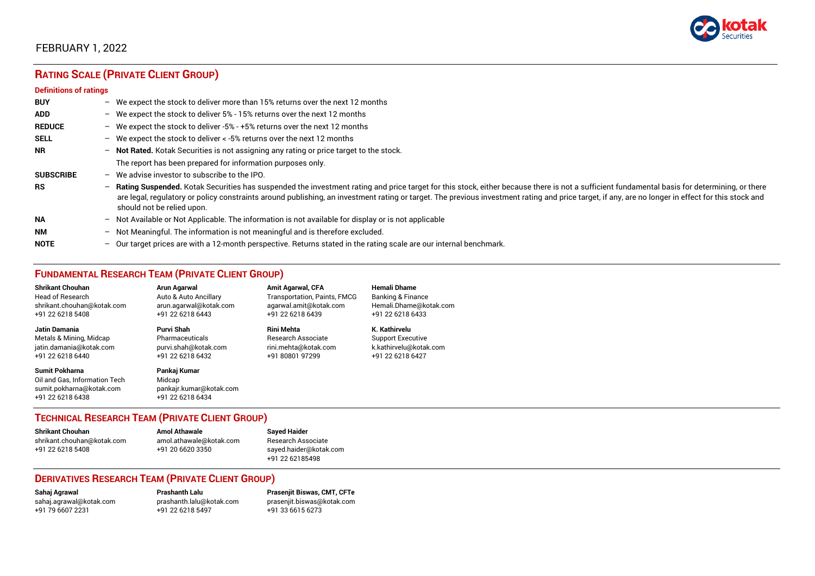

### FEBRUARY 1, 2022

## **RATING SCALE (PRIVATE CLIENT GROUP)**

#### **Definitions of ratings**

| <b>BUY</b>       | - We expect the stock to deliver more than 15% returns over the next 12 months                                                                                                                                                                                                                                                                                                                                                     |
|------------------|------------------------------------------------------------------------------------------------------------------------------------------------------------------------------------------------------------------------------------------------------------------------------------------------------------------------------------------------------------------------------------------------------------------------------------|
| <b>ADD</b>       | - We expect the stock to deliver 5% - 15% returns over the next 12 months                                                                                                                                                                                                                                                                                                                                                          |
| <b>REDUCE</b>    | - We expect the stock to deliver -5% - +5% returns over the next 12 months                                                                                                                                                                                                                                                                                                                                                         |
| <b>SELL</b>      | - We expect the stock to deliver $\lt$ -5% returns over the next 12 months                                                                                                                                                                                                                                                                                                                                                         |
| <b>NR</b>        | - Not Rated. Kotak Securities is not assigning any rating or price target to the stock.                                                                                                                                                                                                                                                                                                                                            |
|                  | The report has been prepared for information purposes only.                                                                                                                                                                                                                                                                                                                                                                        |
| <b>SUBSCRIBE</b> | $-$ We advise investor to subscribe to the IPO.                                                                                                                                                                                                                                                                                                                                                                                    |
| <b>RS</b>        | - Rating Suspended. Kotak Securities has suspended the investment rating and price target for this stock, either because there is not a sufficient fundamental basis for determining, or there<br>are legal, regulatory or policy constraints around publishing, an investment rating or target. The previous investment rating and price target, if any, are no longer in effect for this stock and<br>should not be relied upon. |
| <b>NA</b>        | - Not Available or Not Applicable. The information is not available for display or is not applicable                                                                                                                                                                                                                                                                                                                               |
| <b>NM</b>        | - Not Meaningful. The information is not meaningful and is therefore excluded.                                                                                                                                                                                                                                                                                                                                                     |
| <b>NOTE</b>      | $-$ Our target prices are with a 12-month perspective. Returns stated in the rating scale are our internal benchmark.                                                                                                                                                                                                                                                                                                              |

#### **FUNDAMENTAL RESEARCH TEAM (PRIVATE CLIENT GROUP)**

| <b>Shrikant Chouhan</b>                                                                                | <b>Arun Agarwal</b>                                                   | <b>Amit Agarwal, CFA</b>            | <b>Hemali Dhame</b>          |
|--------------------------------------------------------------------------------------------------------|-----------------------------------------------------------------------|-------------------------------------|------------------------------|
| Head of Research                                                                                       | Auto & Auto Ancillary                                                 | <b>Transportation, Paints, FMCG</b> | <b>Banking &amp; Finance</b> |
| shrikant.chouhan@kotak.com                                                                             | arun.agarwal@kotak.com                                                | agarwal.amit@kotak.com              | Hemali.Dhame@kotak.com       |
| +91 22 6218 5408                                                                                       | +91 22 6218 6443                                                      | +91 22 6218 6439                    | +91 22 6218 6433             |
| Jatin Damania                                                                                          | Purvi Shah                                                            | Rini Mehta                          | K. Kathirvelu                |
| Metals & Mining, Midcap                                                                                | Pharmaceuticals                                                       | Research Associate                  | <b>Support Executive</b>     |
| jatin.damania@kotak.com                                                                                | purvi.shah@kotak.com                                                  | rini.mehta@kotak.com                | k.kathirvelu@kotak.com       |
| +91 22 6218 6440                                                                                       | +91 22 6218 6432                                                      | +91 80801 97299                     | +91 22 6218 6427             |
| <b>Sumit Pokharna</b><br>Oil and Gas. Information Tech<br>sumit.pokharna@kotak.com<br>+91 22 6218 6438 | Pankaj Kumar<br>Midcap<br>pankajr.kumar@kotak.com<br>+91 22 6218 6434 |                                     |                              |

#### **TECHNICAL RESEARCH TEAM (PRIVATE CLIENT GROUP)**

| Shrikant Chouhan           | <b>Amol Athawale</b>    | <b>Sayed Haider</b>    |
|----------------------------|-------------------------|------------------------|
| shrikant.chouhan@kotak.com | amol.athawale@kotak.com | Research Associate     |
| +91 22 6218 5408           | +91 20 6620 3350        | sayed.haider@kotak.com |
|                            |                         | +91 22 62185498        |

#### **DERIVATIVES RESEARCH TEAM (PRIVATE CLIENT GROUP)**

+91 22 6218 5497 +91 33 6615 6273

**Sahaj Agrawal Prashanth Lalu Prasenjit Biswas, CMT, CFTe** [sahaj.agrawal@kotak.com](mailto:sahaj.agrawal@kotak.com) [prashanth.lalu@kotak.com](mailto:prashanth.lalu@kotak.com) [prasenjit.biswas@kotak.com](mailto:prasenjit.biswas@kotak.com)